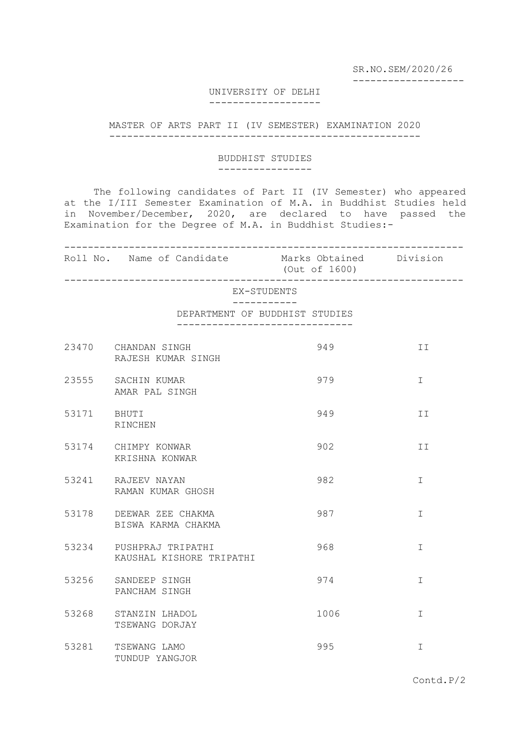SR.NO.SEM/2020/26

-------------------

# UNIVERSITY OF DELHI

#### -------------------

## MASTER OF ARTS PART II (IV SEMESTER) EXAMINATION 2020 -----------------------------------------------------

## BUDDHIST STUDIES ----------------

 The following candidates of Part II (IV Semester) who appeared at the I/III Semester Examination of M.A. in Buddhist Studies held in November/December, 2020, are declared to have passed the Examination for the Degree of M.A. in Buddhist Studies:-

-------------------------------------------------------------------- Roll No. Name of Candidate (Out of 1600) --------------------------------------------------------------------

EX-STUDENTS

### -----------

DEPARTMENT OF BUDDHIST STUDIES ------------------------------

|             | 23470 CHANDAN SINGH<br>RAJESH KUMAR SINGH           | 949  | II            |
|-------------|-----------------------------------------------------|------|---------------|
|             | 23555 SACHIN KUMAR<br>AMAR PAL SINGH                | 979  | $\mathbf{I}$  |
| 53171 BHUTI | RINCHEN                                             | 949  | II            |
|             | 53174 CHIMPY KONWAR<br>KRISHNA KONWAR               | 902  | II            |
|             | 53241 RAJEEV NAYAN<br>RAMAN KUMAR GHOSH             | 982  | I             |
|             | 53178 DEEWAR ZEE CHAKMA<br>BISWA KARMA CHAKMA       | 987  | $\mathbbm{I}$ |
|             | 53234 PUSHPRAJ TRIPATHI<br>KAUSHAL KISHORE TRIPATHI | 968  | I             |
|             | 53256 SANDEEP SINGH<br>PANCHAM SINGH                | 974  | $\mathbb{I}$  |
| 53268       | STANZIN LHADOL<br>TSEWANG DORJAY                    | 1006 | I             |
| 53281       | TSEWANG LAMO<br>TUNDUP YANGJOR                      | 995  | I             |